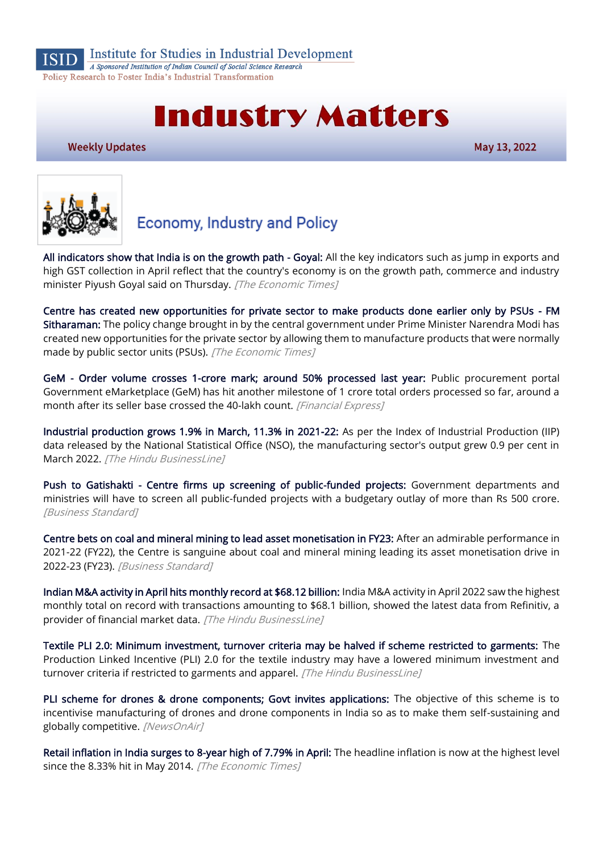

Institute for Studies in Industrial Development

A Sponsored Institution of Indian Council of Social Science Research Policy Research to Foster India's Industrial Transformation

# **Industry Matters**

**Weekly Updates** 

May 13, 2022



## **Economy, Industry and Policy**

[All indicators show that India is on the growth path - Goyal:](https://economictimes.indiatimes.com/news/economy/indicators/all-indicators-show-that-india-is-on-the-growth-path-goyal/articleshow/91364396.cms) All the key indicators such as jump in exports and high GST collection in April reflect that the country's economy is on the growth path, commerce and industry minister Piyush Goyal said on Thursday. [The Economic Times]

[Centre has created new opportunities for private sector to make products done earlier only by PSUs - FM](https://economictimes.indiatimes.com/news/economy/policy/centre-has-created-new-opportunities-for-private-sector-to-make-products-done-earlier-only-by-psus-fm-sitharaman/articleshow/91443770.cms)  [Sitharaman:](https://economictimes.indiatimes.com/news/economy/policy/centre-has-created-new-opportunities-for-private-sector-to-make-products-done-earlier-only-by-psus-fm-sitharaman/articleshow/91443770.cms) The policy change brought in by the central government under Prime Minister Narendra Modi has created new opportunities for the private sector by allowing them to manufacture products that were normally made by public sector units (PSUs). [The Economic Times]

[GeM - Order volume crosses 1-crore mark; around 50% processed last year:](https://www.financialexpress.com/industry/sme/msme-eodb-gem-order-volume-crosses-1-crore-mark-around-50-processed-last-year/2516813/) Public procurement portal Government eMarketplace (GeM) has hit another milestone of 1 crore total orders processed so far, around a month after its seller base crossed the 40-lakh count. [Financial Express]

[Industrial production grows 1.9% in March, 11.3% in 2021-22:](https://www.thehindubusinessline.com/economy/industrial-production-grows-19-in-march-113-in-2021-22/article65407368.ece) As per the Index of Industrial Production (IIP) data released by the National Statistical Office (NSO), the manufacturing sector's output grew 0.9 per cent in March 2022. [The Hindu BusinessLine]

[Push to Gatishakti - Centre firms up screening of public-funded projects:](https://www.business-standard.com/article/economy-policy/push-to-gatishakti-centre-firms-up-screening-of-public-funded-projects-122051200012_1.html) Government departments and ministries will have to screen all public-funded projects with a budgetary outlay of more than Rs 500 crore. [Business Standard]

[Centre bets on coal and mineral mining to lead asset monetisation in FY23:](https://www.business-standard.com/article/economy-policy/centre-bets-on-coal-and-mineral-mining-to-lead-asset-monetisation-in-fy23-122051000028_1.html) After an admirable performance in 2021-22 (FY22), the Centre is sanguine about coal and mineral mining leading its asset monetisation drive in 2022-23 (FY23). [Business Standard]

[Indian M&A activity in April hits monthly record at \\$68.12 billion:](https://www.thehindubusinessline.com/economy/indian-ma-activity-in-april-hits-monthly-recordat-6812-billion/article65407600.ece) India M&A activity in April 2022 saw the highest monthly total on record with transactions amounting to \$68.1 billion, showed the latest data from Refinitiv, a provider of financial market data. [The Hindu BusinessLine]

[Textile PLI 2.0: Minimum investment, turnover criteria may be halved if scheme restricted to garments:](https://www.thehindubusinessline.com/economy/textile-pli-20-minimum-investment-turnover-criteria-may-be-halved-if-scheme-restricted-to-garments/article65407610.ece) The Production Linked Incentive (PLI) 2.0 for the textile industry may have a lowered minimum investment and turnover criteria if restricted to garments and apparel. [The Hindu BusinessLine]

[PLI scheme for drones & drone components; Govt invites applications:](https://newsonair.com/2022/05/06/pli-scheme-for-drones-drone-components-govt-invites-applications/) The objective of this scheme is to incentivise manufacturing of drones and drone components in India so as to make them self-sustaining and globally competitive. [NewsOnAir]

[Retail inflation in India surges to 8-year high of 7.79% in April:](https://economictimes.indiatimes.com/news/economy/indicators/retail-inflation-in-india-surges-to-7-79-in-april/articleshow/91518110.cms) The headline inflation is now at the highest level since the 8.33% hit in May 2014. [The Economic Times]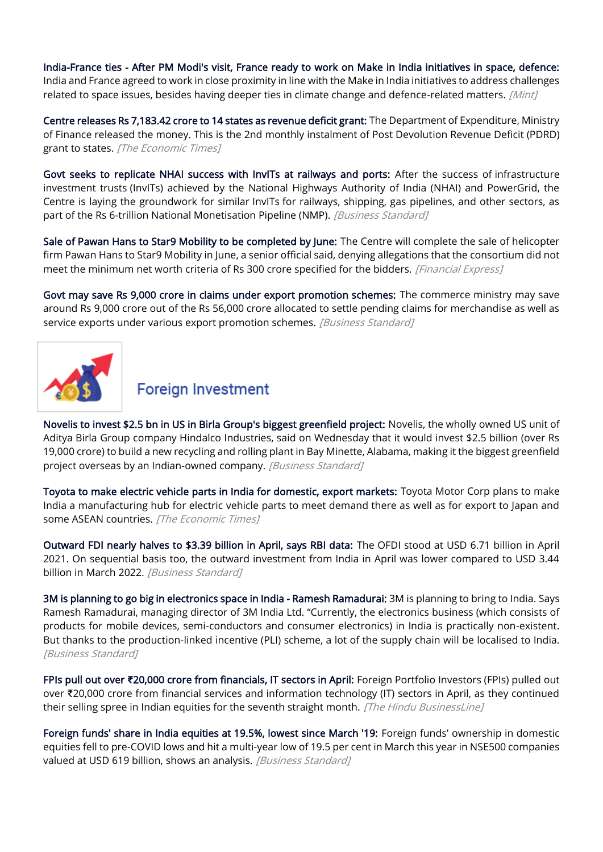[India-France ties - After PM Modi's visit, France ready to work on Make in India initiatives in space, defence:](https://www.livemint.com/news/world/indiafrance-ties-after-pm-modi-s-visit-france-ready-to-work-on-make-in-india-initiatives-in-space-defence-11652080435388.html) India and France agreed to work in close proximity in line with the Make in India initiatives to address challenges related to space issues, besides having deeper ties in climate change and defence-related matters. [Mint]

[Centre releases Rs 7,183.42 crore to 14 states as revenue deficit grant:](https://economictimes.indiatimes.com/news/economy/finance/centre-releases-rs-7183-42-crore-to-14-states-as-revenue-deficit-grant/articleshow/91377864.cms) The Department of Expenditure, Ministry of Finance released the money. This is the 2nd monthly instalment of Post Devolution Revenue Deficit (PDRD) grant to states. [The Economic Times]

[Govt seeks to replicate NHAI success with InvITs at railways and ports:](https://www.business-standard.com/article/economy-policy/govt-seeks-to-replicate-nhai-success-with-invits-at-railways-and-ports-122050801018_1.html) After the success of infrastructure investment trusts (InvITs) achieved by the National Highways Authority of India (NHAI) and PowerGrid, the Centre is laying the groundwork for similar InvITs for railways, shipping, gas pipelines, and other sectors, as part of the Rs 6-trillion National Monetisation Pipeline (NMP). [Business Standard]

[Sale of Pawan Hans to Star9 Mobility to be completed by June:](https://www.financialexpress.com/industry/sale-of-pawan-hans-to-star9-mobility-to-be-completed-by-june/2515765/) The Centre will complete the sale of helicopter firm Pawan Hans to Star9 Mobility in June, a senior official said, denying allegations that the consortium did not meet the minimum net worth criteria of Rs 300 crore specified for the bidders. [Financial Express]

[Govt may save Rs 9,000 crore in claims under export promotion schemes:](https://www.business-standard.com/article/economy-policy/govt-may-save-rs-9-000-crore-in-claims-under-export-promotion-schemes-122051000037_1.html) The commerce ministry may save around Rs 9,000 crore out of the Rs 56,000 crore allocated to settle pending claims for merchandise as well as service exports under various export promotion schemes. [Business Standard]



## **Foreign Investment**

[Novelis to invest \\$2.5 bn in US in Birla Group's biggest greenfield project:](https://www.business-standard.com/article/companies/novelis-to-invest-2-5-bn-in-us-in-birla-group-s-biggest-greenfield-project-122051100874_1.html) Novelis, the wholly owned US unit of Aditya Birla Group company Hindalco Industries, said on Wednesday that it would invest \$2.5 billion (over Rs 19,000 crore) to build a new recycling and rolling plant in Bay Minette, Alabama, making it the biggest greenfield project overseas by an Indian-owned company. [Business Standard]

[Toyota to make electric vehicle parts in India for domestic, export markets:](https://economictimes.indiatimes.com/industry/renewables/toyota-to-make-electric-vehicle-parts-in-india-for-domestic-export-markets/articleshow/91496435.cms) Toyota Motor Corp plans to make India a manufacturing hub for electric vehicle parts to meet demand there as well as for export to Japan and some ASEAN countries. [The Economic Times]

[Outward FDI nearly halves to \\$3.39 billion in April, says RBI data:](https://www.business-standard.com/article/economy-policy/outward-fdi-nearly-halves-to-3-39-billion-in-april-says-rbi-data-122051001267_1.html) The OFDI stood at USD 6.71 billion in April 2021. On sequential basis too, the outward investment from India in April was lower compared to USD 3.44 billion in March 2022. [Business Standard]

[3M is planning to go big in electronics space in India - Ramesh Ramadurai:](https://www.business-standard.com/article/companies/3m-is-planning-to-go-big-in-electronics-space-in-india-ramesh-ramadurai-122051000012_1.html) 3M is planning to bring to India. Says Ramesh Ramadurai, managing director of 3M India Ltd. "Currently, the electronics business (which consists of products for mobile devices, semi-conductors and consumer electronics) in India is practically non-existent. But thanks to the production-linked incentive (PLI) scheme, a lot of the supply chain will be localised to India. [Business Standard]

FPIs pull out over **₹**[20,000 crore from financials, IT sectors in April:](https://www.thehindubusinessline.com/markets/fpis-pull-out-over-20000-crore-from-financials-it-in-april/article65398224.ece) Foreign Portfolio Investors (FPIs) pulled out over ₹20,000 crore from financial services and information technology (IT) sectors in April, as they continued their selling spree in Indian equities for the seventh straight month. [The Hindu BusinessLine]

[Foreign funds' share in India equities at 19.5%, lowest since March '19:](https://www.business-standard.com/article/markets/foreign-funds-share-in-india-equities-at-19-5-lowest-since-march-19-122050800505_1.html) Foreign funds' ownership in domestic equities fell to pre-COVID lows and hit a multi-year low of 19.5 per cent in March this year in NSE500 companies valued at USD 619 billion, shows an analysis. [Business Standard]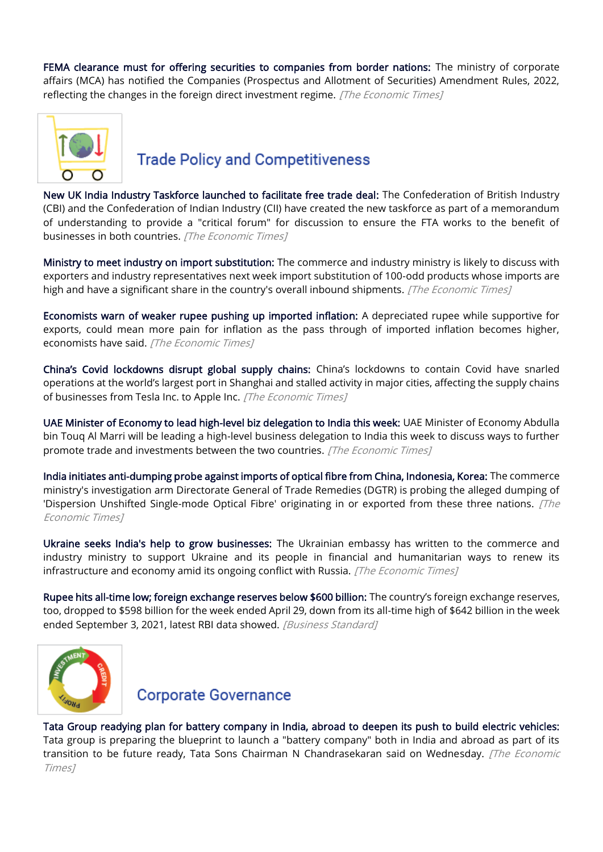[FEMA clearance must for offering securities to companies from border nations:](https://economictimes.indiatimes.com/news/economy/foreign-trade/fema-clearance-must-for-offering-securities-to-companies-from-border-nations/articleshow/91384742.cms) The ministry of corporate affairs (MCA) has notified the Companies (Prospectus and Allotment of Securities) Amendment Rules, 2022, reflecting the changes in the foreign direct investment regime. [The Economic Times]



#### **Trade Policy and Competitiveness**

[New UK India Industry Taskforce launched to facilitate free trade deal:](https://economictimes.indiatimes.com/news/economy/foreign-trade/new-uk-india-industry-taskforce-launched-to-facilitate-free-trade-deal/articleshow/91437510.cms) The Confederation of British Industry (CBI) and the Confederation of Indian Industry (CII) have created the new taskforce as part of a memorandum of understanding to provide a "critical forum" for discussion to ensure the FTA works to the benefit of businesses in both countries. [The Economic Times]

[Ministry to meet industry on import substitution:](https://economictimes.indiatimes.com/news/economy/foreign-trade/ministry-to-meet-industry-on-import-substitution/articleshow/91355563.cms) The commerce and industry ministry is likely to discuss with exporters and industry representatives next week import substitution of 100-odd products whose imports are high and have a significant share in the country's overall inbound shipments. [The Economic Times]

[Economists warn of weaker rupee pushing up imported inflation:](https://economictimes.indiatimes.com/news/economy/indicators/economists-warn-of-weaker-rupee-pushing-up-imported-inflation/articleshow/91501097.cms) A depreciated rupee while supportive for exports, could mean more pain for inflation as the pass through of imported inflation becomes higher, economists have said. [The Economic Times]

[China's Covid lockdowns disrupt global supply chains:](https://economictimes.indiatimes.com/small-biz/trade/exports/insights/chinas-covid-lockdowns-disrupt-global-supply-chains/articleshow/91429852.cms) China's lockdowns to contain Covid have snarled operations at the world's largest port in Shanghai and stalled activity in major cities, affecting the supply chains of businesses from Tesla Inc. to Apple Inc. [The Economic Times]

[UAE Minister of Economy to lead high-level biz delegation to India this week:](https://economictimes.indiatimes.com/news/economy/foreign-trade/uae-minister-of-economy-to-lead-high-level-biz-delegation-to-india-this-week/articleshow/91413984.cms) UAE Minister of Economy Abdulla bin Touq Al Marri will be leading a high-level business delegation to India this week to discuss ways to further promote trade and investments between the two countries. [The Economic Times]

[India initiates anti-dumping probe against imports of optical fibre from China, Indonesia, Korea:](https://economictimes.indiatimes.com/news/economy/foreign-trade/india-initiates-anti-dumping-probe-against-imports-of-optical-fibre-from-china-indonesia-korea/articleshow/91439754.cms) The commerce ministry's investigation arm Directorate General of Trade Remedies (DGTR) is probing the alleged dumping of 'Dispersion Unshifted Single-mode Optical Fibre' originating in or exported from these three nations. [The Economic Times]

[Ukraine seeks India's help to grow businesses:](https://economictimes.indiatimes.com/news/india/ukraine-seeks-indias-help-to-grow-businesses/articleshow/91451319.cms) The Ukrainian embassy has written to the commerce and industry ministry to support Ukraine and its people in financial and humanitarian ways to renew its infrastructure and economy amid its ongoing conflict with Russia. [The Economic Times]

[Rupee hits all-time low; foreign exchange reserves below \\$600 billion:](https://www.business-standard.com/article/finance/rupee-hits-all-time-low-of-76-97-to-the-dollar-before-slight-recovery-122050600558_1.html) The country's foreign exchange reserves, too, dropped to \$598 billion for the week ended April 29, down from its all-time high of \$642 billion in the week ended September 3, 2021, latest RBI data showed. [Business Standard]



#### **Corporate Governance**

[Tata Group readying plan for battery company in India, abroad to deepen its push to build electric vehicles:](https://economictimes.indiatimes.com/industry/renewables/tata-group-readying-plan-for-battery-company-in-india-abroad-to-deepen-its-push-to-build-electric-vehicles/articleshow/91497479.cms) Tata group is preparing the blueprint to launch a "battery company" both in India and abroad as part of its transition to be future ready, Tata Sons Chairman N Chandrasekaran said on Wednesday. *[The Economic* Times]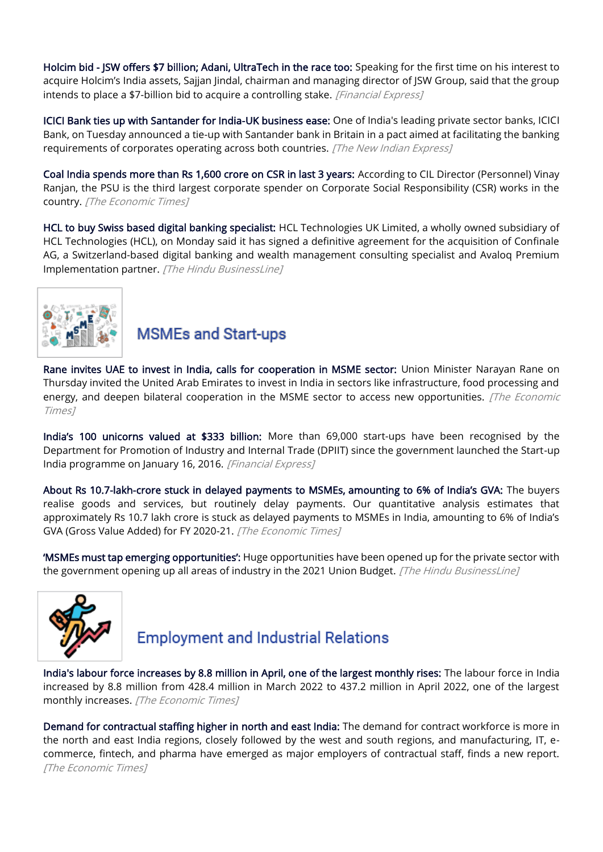[Holcim bid - JSW offers \\$7 billion; Adani, UltraTech in the race too:](https://www.financialexpress.com/industry/holcim-bid-jsw-offers-7-billion-adani-ultratech-in-the-race-too/2519276/) Speaking for the first time on his interest to acquire Holcim's India assets, Sajjan Jindal, chairman and managing director of JSW Group, said that the group intends to place a \$7-billion bid to acquire a controlling stake. [Financial Express]

[ICICI Bank ties up with Santander for India-UK business ease:](https://www.newindianexpress.com/business/2022/may/10/icici-bank-ties-up-with-santander-for-india-uk-business-ease-2451957.html) One of India's leading private sector banks, ICICI Bank, on Tuesday announced a tie-up with Santander bank in Britain in a pact aimed at facilitating the banking requirements of corporates operating across both countries. [The New Indian Express]

[Coal India spends more than Rs 1,600 crore on CSR in last 3 years:](https://economictimes.indiatimes.com/industry/indl-goods/svs/metals-mining/coal-india-spends-more-than-rs-1600-crore-on-csr-in-last-3-years/articleshow/91443535.cms) According to CIL Director (Personnel) Vinay Ranjan, the PSU is the third largest corporate spender on Corporate Social Responsibility (CSR) works in the country. [The Economic Times]

[HCL to buy Swiss based digital banking specialist:](https://www.thehindubusinessline.com/info-tech/hcl-to-buy-swiss-based-digital-banking-specialist/article65398198.ece) HCL Technologies UK Limited, a wholly owned subsidiary of HCL Technologies (HCL), on Monday said it has signed a definitive agreement for the acquisition of Confinale AG, a Switzerland-based digital banking and wealth management consulting specialist and Avaloq Premium Implementation partner. [The Hindu BusinessLine]



#### **MSMEs and Start-ups**

[Rane invites UAE to invest in India, calls for cooperation in MSME sector:](https://economictimes.indiatimes.com/news/economy/foreign-trade/rane-invites-uae-to-invest-in-india-calls-for-cooperation-in-msme-sector/articleshow/91522202.cms) Union Minister Narayan Rane on Thursday invited the United Arab Emirates to invest in India in sectors like infrastructure, food processing and energy, and deepen bilateral cooperation in the MSME sector to access new opportunities. *[The Economic* Times]

[India's 100 unicorns valued at \\$333 billion:](https://www.financialexpress.com/industry/indias-100-unicorns-valued-at-333-billion/2515846/) More than 69,000 start-ups have been recognised by the Department for Promotion of Industry and Internal Trade (DPIIT) since the government launched the Start-up India programme on January 16, 2016. [Financial Express]

[About Rs 10.7-lakh-crore stuck in delayed payments to MSMEs,](https://economictimes.indiatimes.com/small-biz/sme-sector/about-rs-10-7-lakh-crore-stuck-in-delayed-payments-to-msmes-amounting-to-6-of-indias-gva/articleshow/91430401.cms) amounting to 6% of India's GVA: The buyers realise goods and services, but routinely delay payments. Our quantitative analysis estimates that approximately Rs 10.7 lakh crore is stuck as delayed payments to MSMEs in India, amounting to 6% of India's GVA (Gross Value Added) for FY 2020-21. [The Economic Times]

['MSMEs must tap emerging opportunities':](https://www.thehindubusinessline.com/economy/msmes-must-tap-emerging-opportunities/article65399282.ece) Huge opportunities have been opened up for the private sector with the government opening up all areas of industry in the 2021 Union Budget. [The Hindu BusinessLine]



#### **Employment and Industrial Relations**

[India's labour force increases by 8.8 million in April, one of the largest monthly rises:](https://economictimes.indiatimes.com/news/economy/indicators/indias-labour-force-increases-by-8-8-million-in-april-one-of-the-largest-monthly-rises/articleshow/91512662.cms) The labour force in India increased by 8.8 million from 428.4 million in March 2022 to 437.2 million in April 2022, one of the largest monthly increases. [The Economic Times]

[Demand for contractual staffing higher in north and east India:](https://economictimes.indiatimes.com/news/company/corporate-trends/demand-for-contractual-staffing-higher-in-north-and-east-india-report/articleshow/91484626.cms) The demand for contract workforce is more in the north and east India regions, closely followed by the west and south regions, and manufacturing, IT, ecommerce, fintech, and pharma have emerged as major employers of contractual staff, finds a new report. [The Economic Times]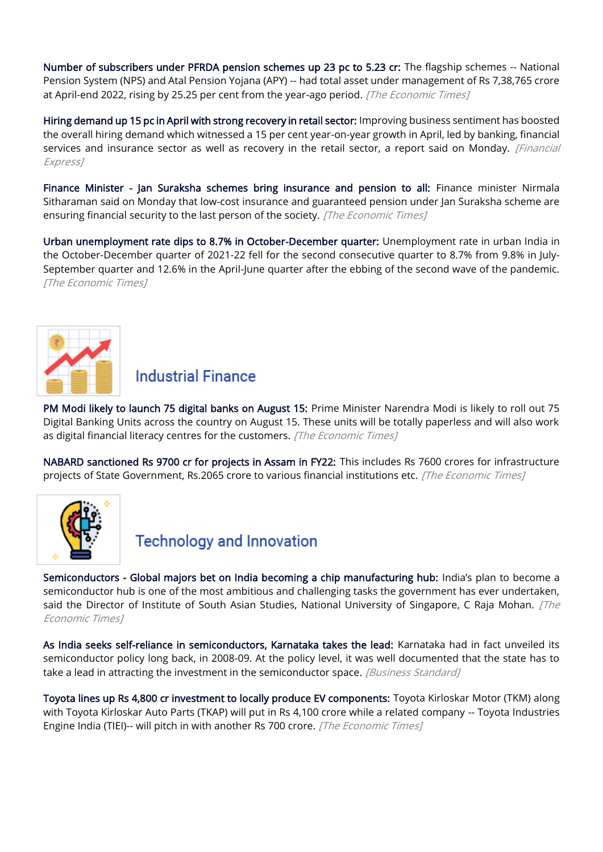[Number of subscribers under PFRDA pension schemes up 23 pc to 5.23 cr:](https://economictimes.indiatimes.com/news/economy/policy/number-of-subscribers-under-pfrda-pension-schemes-up-23-pc-to-5-23-cr/articleshow/91517891.cms) The flagship schemes -- National Pension System (NPS) and Atal Pension Yojana (APY) -- had total asset under management of Rs 7,38,765 crore at April-end 2022, rising by 25.25 per cent from the year-ago period. [The Economic Times]

[Hiring demand up 15 pc in April with strong recovery in retail sector:](https://www.financialexpress.com/jobs/hiring-demand-up-15-pc-in-april-with-strong-recovery-in-retail-sector-report/2517848/) Improving business sentiment has boosted the overall hiring demand which witnessed a 15 per cent year-on-year growth in April, led by banking, financial services and insurance sector as well as recovery in the retail sector, a report said on Monday. [Financial Express]

[Finance Minister - Jan Suraksha schemes bring insurance and pension to all:](https://economictimes.indiatimes.com/news/india/finance-minister-jan-suraksha-schemes-bring-insurance-and-pension-to-all/articleshow/91451264.cms) Finance minister Nirmala Sitharaman said on Monday that low-cost insurance and guaranteed pension under Jan Suraksha scheme are ensuring financial security to the last person of the society. [The Economic Times]

[Urban unemployment rate dips to 8.7% in October-December quarter:](https://economictimes.indiatimes.com/news/economy/indicators/urban-unemployment-rate-dips-to-8-7-in-october-december-quarter/articleshow/91384556.cms) Unemployment rate in urban India in the October-December quarter of 2021-22 fell for the second consecutive quarter to 8.7% from 9.8% in July-September quarter and 12.6% in the April-June quarter after the ebbing of the second wave of the pandemic. [The Economic Times]



#### **Industrial Finance**

[PM Modi likely to launch 75 digital banks on August 15:](https://economictimes.indiatimes.com/industry/banking/finance/banking/pm-modi-likely-to-launch-75-digital-banks-on-august-15/articleshow/91355568.cms) Prime Minister Narendra Modi is likely to roll out 75 Digital Banking Units across the country on August 15. These units will be totally paperless and will also work as digital financial literacy centres for the customers. [The Economic Times]

[NABARD sanctioned Rs 9700 cr for projects in Assam in FY22:](https://economictimes.indiatimes.com/news/economy/agriculture/nabard-sanctioned-rs-9700-cr-for-projects-in-assam-in-fy22/articleshow/91507287.cms) This includes Rs 7600 crores for infrastructure projects of State Government, Rs.2065 crore to various financial institutions etc. [The Economic Times]



#### **Technology and Innovation**

[Semiconductors - Global majors bet on India becoming a chip manufacturing hub:](https://economictimes.indiatimes.com/small-biz/sme-sector/global-majors-bet-on-india-becoming-a-chip-manufacturing-hub/articleshow/91484005.cms) India's plan to become a semiconductor hub is one of the most ambitious and challenging tasks the government has ever undertaken, said the Director of Institute of South Asian Studies, National University of Singapore, C Raja Mohan. *[The* Economic Times]

[As India seeks self-reliance in semiconductors, Karnataka takes the lead:](https://www.business-standard.com/article/economy-policy/as-india-seeks-self-reliance-in-semiconductors-karnataka-takes-the-lead-122051000915_1.html) Karnataka had in fact unveiled its semiconductor policy long back, in 2008-09. At the policy level, it was well documented that the state has to take a lead in attracting the investment in the semiconductor space. [Business Standard]

[Toyota lines up Rs 4,800 cr investment to locally produce EV components:](https://economictimes.indiatimes.com/industry/renewables/toyota-lines-up-rs-4800-cr-investment-to-locally-produce-ev-components/articleshow/91432162.cms) Toyota Kirloskar Motor (TKM) along with Toyota Kirloskar Auto Parts (TKAP) will put in Rs 4,100 crore while a related company -- Toyota Industries Engine India (TIEI)-- will pitch in with another Rs 700 crore. [The Economic Times]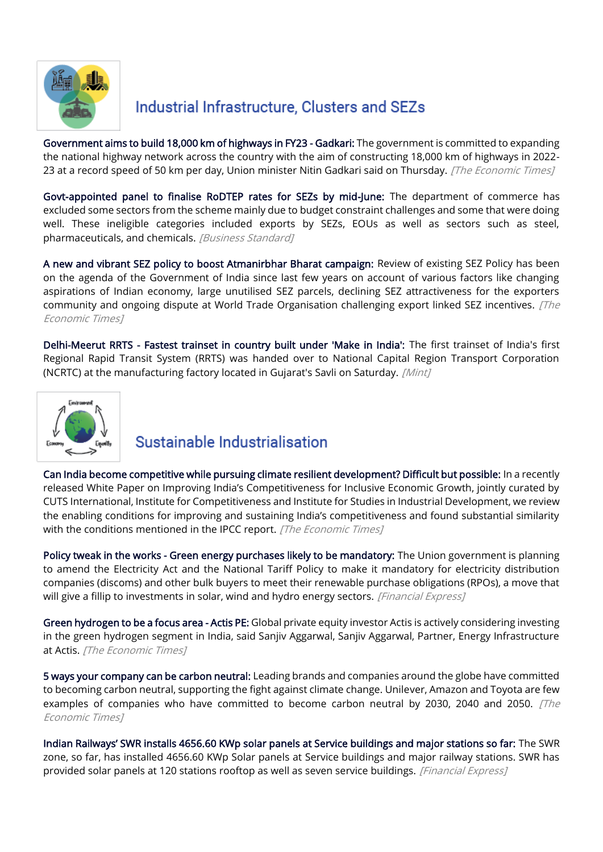

## Industrial Infrastructure, Clusters and SEZs

[Government aims to build 18,000 km of highways in FY23 - Gadkari:](https://economictimes.indiatimes.com/news/economy/infrastructure/government-aims-to-build-18000-km-of-highways-in-fy23-gadkari/articleshow/91519502.cms) The government is committed to expanding the national highway network across the country with the aim of constructing 18,000 km of highways in 2022- 23 at a record speed of 50 km per day, Union minister Nitin Gadkari said on Thursday. [The Economic Times]

[Govt-appointed panel to finalise RoDTEP rates for SEZs by mid-June:](https://www.business-standard.com/article/economy-policy/govt-appointed-panel-to-finalise-rodtep-rates-for-sezs-by-mid-june-122051100034_1.html) The department of commerce has excluded some sectors from the scheme mainly due to budget constraint challenges and some that were doing well. These ineligible categories included exports by SEZs, EOUs as well as sectors such as steel, pharmaceuticals, and chemicals. [Business Standard]

[A new and vibrant SEZ policy to boost Atmanirbhar Bharat campaign:](https://economictimes.indiatimes.com/small-biz/policy-trends/a-new-and-vibrant-sez-policy-to-boost-atmanirbhar-bharat-campaign/articleshow/91392234.cms) Review of existing SEZ Policy has been on the agenda of the Government of India since last few years on account of various factors like changing aspirations of Indian economy, large unutilised SEZ parcels, declining SEZ attractiveness for the exporters community and ongoing dispute at World Trade Organisation challenging export linked SEZ incentives. [The Economic Times]

[Delhi-Meerut RRTS - Fastest trainset in country built under 'Make in India':](https://www.livemint.com/news/india/delhimeerut-rrts-the-fastest-trainset-in-country-built-under-make-in-india-see-photos-11651971777686.html) The first trainset of India's first Regional Rapid Transit System (RRTS) was handed over to National Capital Region Transport Corporation (NCRTC) at the manufacturing factory located in Gujarat's Savli on Saturday. [Mint]



## Sustainable Industrialisation

[Can India become competitive while pursuing climate resilient development? Difficult but possible:](https://economictimes.indiatimes.com/news/economy/policy/can-india-become-competitive-while-pursuing-climate-resilient-development-difficult-but-possible/articleshow/91422580.cms) In a recently released White Paper on Improving India's Competitiveness for Inclusive Economic Growth, jointly curated by CUTS International, Institute for Competitiveness and Institute for Studies in Industrial Development, we review the enabling conditions for improving and sustaining India's competitiveness and found substantial similarity with the conditions mentioned in the IPCC report. [The Economic Times]

[Policy tweak in the works - Green energy purchases likely to be mandatory:](https://www.financialexpress.com/industry/policy-tweak-in-the-works-green-energy-purchases-likely-to-be-mandatory/2516848/) The Union government is planning to amend the Electricity Act and the National Tariff Policy to make it mandatory for electricity distribution companies (discoms) and other bulk buyers to meet their renewable purchase obligations (RPOs), a move that will give a fillip to investments in solar, wind and hydro energy sectors. [Financial Express]

[Green hydrogen to be a focus area - Actis PE:](https://economictimes.indiatimes.com/industry/renewables/green-hydrogen-to-be-a-focus-area-actis-pe/articleshow/91475305.cms) Global private equity investor Actis is actively considering investing in the green hydrogen segment in India, said Sanjiv Aggarwal, Sanjiv Aggarwal, Partner, Energy Infrastructure at Actis. [The Economic Times]

[5 ways your company can be carbon neutral:](https://economictimes.indiatimes.com/small-biz/sme-sector/5-ways-your-company-can-be-carbon-neutral/articleshow/91431060.cms) Leading brands and companies around the globe have committed to becoming carbon neutral, supporting the fight against climate change. Unilever, Amazon and Toyota are few examples of companies who have committed to become carbon neutral by 2030, 2040 and 2050.  $\sqrt{The}$ Economic Times]

[Indian Railways' SWR installs 4656.60 KWp solar panels at Service buildings and major stations so far:](https://www.financialexpress.com/infrastructure/railways/indian-railways-swr-installs-4656-60-kwp-solar-panels-at-service-buildings-and-major-stations-so-far-details/2517545/) The SWR zone, so far, has installed 4656.60 KWp Solar panels at Service buildings and major railway stations. SWR has provided solar panels at 120 stations rooftop as well as seven service buildings. [Financial Express]